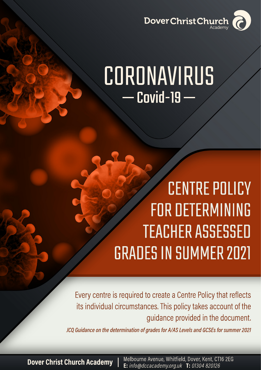

# CORONAVIRUS  $Covid-19$  –

# **CENTRE POLICY FOR DETERMINING TEACHER ASSESSED GRADES IN SUMMER 2021**

Every centre is required to create a Centre Policy that reflects its individual circumstances. This policy takes account of the guidance provided in the document.

JCQ Guidance on the determination of grades for A/AS Levels and GCSEs for summer 2021

**Dover Christ Church Academy** 

Melbourne Avenue, Whitfield, Dover, Kent, CT16 2EG E: info@dccacademy.org.uk T: 01304 820126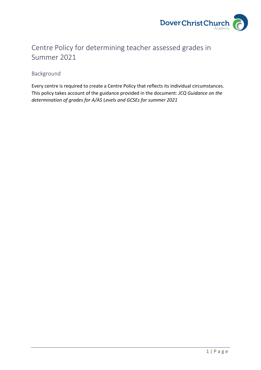

# Centre Policy for determining teacher assessed grades in Summer 2021

## Background

Every centre is required to create a Centre Policy that reflects its individual circumstances. This policy takes account of the guidance provided in the document: *JCQ Guidance on the determination of grades for A/AS Levels and GCSEs for summer 2021*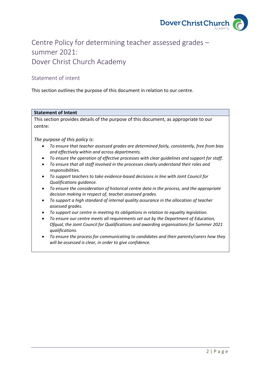

# Centre Policy for determining teacher assessed grades – summer 2021: Dover Christ Church Academy

## Statement of intent

This section outlines the purpose of this document in relation to our centre.

## **Statement of Intent**

This section provides details of the purpose of this document, as appropriate to our centre:

*The purpose of this policy is:*

- *To ensure that teacher assessed grades are determined fairly, consistently, free from bias and effectively within and across departments.*
- *To ensure the operation of effective processes with clear guidelines and support for staff.*
- *To ensure that all staff involved in the processes clearly understand their roles and responsibilities.*
- *To support teachers to take evidence-based decisions in line with Joint Council for Qualifications guidance.*
- *To ensure the consideration of historical centre data in the process, and the appropriate decision making in respect of, teacher assessed grades.*
- *To support a high standard of internal quality assurance in the allocation of teacher assessed grades.*
- *To support our centre in meeting its obligations in relation to equality legislation.*
- *To ensure our centre meets all requirements set out by the Department of Education, Ofqual, the Joint Council for Qualifications and awarding organisations for Summer 2021 qualifications.*
- *To ensure the process for communicating to candidates and their parents/carers how they will be assessed is clear, in order to give confidence.*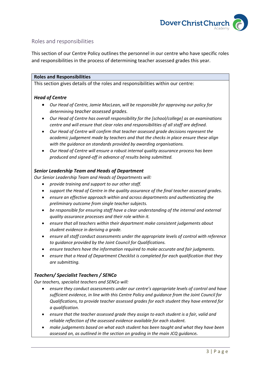

## Roles and responsibilities

This section of our Centre Policy outlines the personnel in our centre who have specific roles and responsibilities in the process of determining teacher assessed grades this year.

#### **Roles and Responsibilities**

This section gives details of the roles and responsibilities within our centre:

## *Head of Centre*

- *Our Head of Centre, Jamie MacLean, will be responsible for approving our policy for determining teacher assessed grades.*
- *Our Head of Centre has overall responsibility for the [school/college] as an examinations centre and will ensure that clear roles and responsibilities of all staff are defined.*
- *Our Head of Centre will confirm that teacher assessed grade decisions represent the academic judgement made by teachers and that the checks in place ensure these align with the guidance on standards provided by awarding organisations.*
- *Our Head of Centre will ensure a robust internal quality assurance process has been produced and signed-off in advance of results being submitted.*

## *Senior Leadership Team and Heads of Department*

*Our Senior Leadership Team and Heads of Departments will:*

- *provide training and support to our other staff.*
- *support the Head of Centre in the quality assurance of the final teacher assessed grades.*
- *ensure an effective approach within and across departments and authenticating the preliminary outcome from single teacher subjects.*
- *be responsible for ensuring staff have a clear understanding of the internal and external quality assurance processes and their role within it.*
- *ensure that all teachers within their department make consistent judgements about student evidence in deriving a grade.*
- *ensure all staff conduct assessments under the appropriate levels of control with reference to guidance provided by the Joint Council for Qualifications.*
- *ensure teachers have the information required to make accurate and fair judgments.*
- *ensure that a Head of Department Checklist is completed for each qualification that they are submitting.*

## *Teachers/ Specialist Teachers / SENCo*

*Our teachers, specialist teachers and SENCo will:*

- *ensure they conduct assessments under our centre's appropriate levels of control and have sufficient evidence, in line with this Centre Policy and guidance from the Joint Council for Qualifications, to provide teacher assessed grades for each student they have entered for a qualification.*
- *ensure that the teacher assessed grade they assign to each student is a fair, valid and reliable reflection of the assessed evidence available for each student.*
- *make judgements based on what each student has been taught and what they have been assessed on, as outlined in the section on grading in the main JCQ guidance.*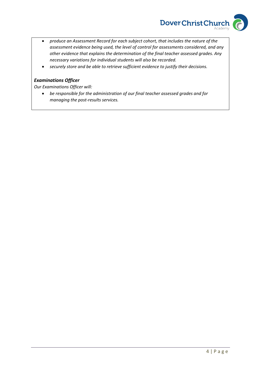

- *produce an Assessment Record for each subject cohort, that includes the nature of the assessment evidence being used, the level of control for assessments considered, and any other evidence that explains the determination of the final teacher assessed grades. Any necessary variations for individual students will also be recorded.*
- *securely store and be able to retrieve sufficient evidence to justify their decisions.*

## *Examinations Officer*

*Our Examinations Officer will:*

• *be responsible for the administration of our final teacher assessed grades and for managing the post-results services.*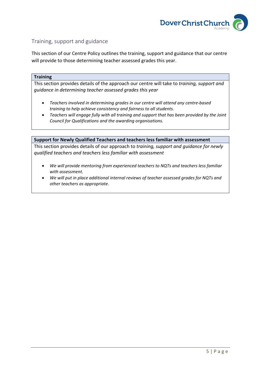

## Training, support and guidance

This section of our Centre Policy outlines the training, support and guidance that our centre will provide to those determining teacher assessed grades this year.

#### **Training**

This section provides details of the approach our centre will take to *training, support and guidance in determining teacher assessed grades this year*

- *Teachers involved in determining grades in our centre will attend any centre-based training to help achieve consistency and fairness to all students.*
- *Teachers will engage fully with all training and support that has been provided by the Joint Council for Qualifications and the awarding organisations.*

#### **Support for Newly Qualified Teachers and teachers less familiar with assessment**

This section provides details of our approach to *training, support and guidance for newly qualified teachers and teachers less familiar with assessment*

- *We will provide mentoring from experienced teachers to NQTs and teachers less familiar with assessment.*
- *We will put in place additional internal reviews of teacher assessed grades for NQTs and other teachers as appropriate.*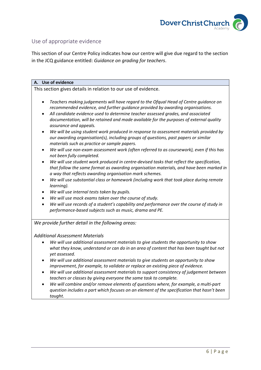

## Use of appropriate evidence

This section of our Centre Policy indicates how our centre will give due regard to the section in the JCQ guidance entitled: *Guidance on grading for teachers*.

#### **A. Use of evidence**

This section gives details in relation to our use of evidence.

- *Teachers making judgements will have regard to the Ofqual Head of Centre guidance on recommended evidence, and further guidance provided by awarding organisations.*
- *All candidate evidence used to determine teacher assessed grades, and associated documentation, will be retained and made available for the purposes of external quality assurance and appeals.*
- *We will be using student work produced in response to assessment materials provided by our awarding organisation(s), including groups of questions, past papers or similar materials such as practice or sample papers.*
- *We will use non-exam assessment work (often referred to as coursework), even if this has not been fully completed.*
- *We will use student work produced in centre-devised tasks that reflect the specification, that follow the same format as awarding organisation materials, and have been marked in a way that reflects awarding organisation mark schemes.*
- *We will use substantial class or homework (including work that took place during remote learning).*
- *We will use internal tests taken by pupils.*
- *We will use mock exams taken over the course of study.*
- *We will use records of a student's capability and performance over the course of study in performance-based subjects such as music, drama and PE.*

*We provide further detail in the following areas:*

## *Additional Assessment Materials*

- *We will use additional assessment materials to give students the opportunity to show what they know, understand or can do in an area of content that has been taught but not yet assessed.*
- *We will use additional assessment materials to give students an opportunity to show improvement, for example, to validate or replace an existing piece of evidence.*
- *We will use additional assessment materials to support consistency of judgement between teachers or classes by giving everyone the same task to complete.*
- *We will combine and/or remove elements of questions where, for example, a multi-part question includes a part which focuses on an element of the specification that hasn't been taught.*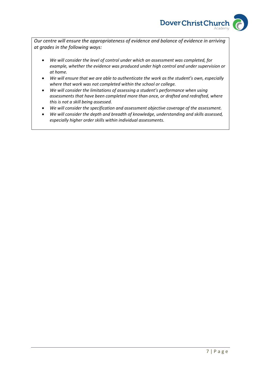

*Our centre will ensure the appropriateness of evidence and balance of evidence in arriving at grades in the following ways:*

- *We will consider the level of control under which an assessment was completed, for example, whether the evidence was produced under high control and under supervision or at home.*
- *We will ensure that we are able to authenticate the work as the student's own, especially where that work was not completed within the school or college.*
- *We will consider the limitations of assessing a student's performance when using assessments that have been completed more than once, or drafted and redrafted, where this is not a skill being assessed.*
- *We will consider the specification and assessment objective coverage of the assessment.*
- *We will consider the depth and breadth of knowledge, understanding and skills assessed, especially higher order skills within individual assessments.*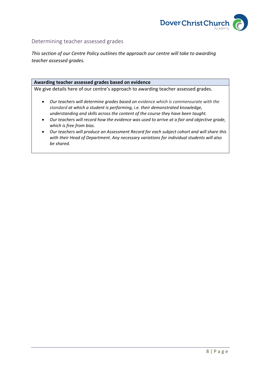

## Determining teacher assessed grades

*This section of our Centre Policy outlines the approach our centre will take to awarding teacher assessed grades.*

#### **Awarding teacher assessed grades based on evidence**

We give details here of our centre's approach to awarding teacher assessed grades*.*

- *Our teachers will determine grades based on evidence which is commensurate with the standard at which a student is performing, i.e. their demonstrated knowledge, understanding and skills across the content of the course they have been taught.*
- *Our teachers will record how the evidence was used to arrive at a fair and objective grade, which is free from bias.*
- *Our teachers will produce an Assessment Record for each subject cohort and will share this with their Head of Department. Any necessary variations for individual students will also be shared.*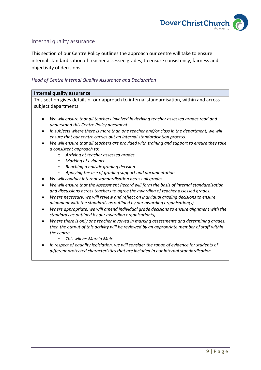

## Internal quality assurance

This section of our Centre Policy outlines the approach our centre will take to ensure internal standardisation of teacher assessed grades, to ensure consistency, fairness and objectivity of decisions.

#### *Head of Centre Internal Quality Assurance and Declaration*

#### **Internal quality assurance**

This section gives details of our approach to internal standardisation, within and across subject departments.

- *We will ensure that all teachers involved in deriving teacher assessed grades read and understand this Centre Policy document.*
- *In subjects where there is more than one teacher and/or class in the department, we will ensure that our centre carries out an internal standardisation process.*
- *We will ensure that all teachers are provided with training and support to ensure they take a consistent approach to:*
	- o *Arriving at teacher assessed grades*
	- o *Marking of evidence*
	- o *Reaching a holistic grading decision*
	- o *Applying the use of grading support and documentation*
- *We will conduct internal standardisation across all grades.*
- *We will ensure that the Assessment Record will form the basis of internal standardisation and discussions across teachers to agree the awarding of teacher assessed grades.*
- *Where necessary, we will review and reflect on individual grading decisions to ensure alignment with the standards as outlined by our awarding organisation(s).*
- *Where appropriate, we will amend individual grade decisions to ensure alignment with the standards as outlined by our awarding organisation(s).*
- *Where there is only one teacher involved in marking assessments and determining grades, then the output of this activity will be reviewed by an appropriate member of staff within the centre.*
	- o *This will be Marcia Muir.*
- *In respect of equality legislation, we will consider the range of evidence for students of different protected characteristics that are included in our internal standardisation.*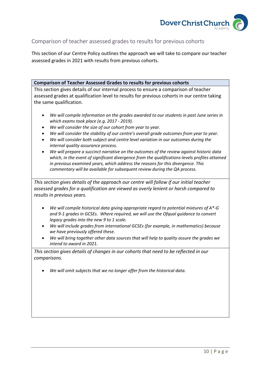

## Comparison of teacher assessed grades to results for previous cohorts

This section of our Centre Policy outlines the approach we will take to compare our teacher assessed grades in 2021 with results from previous cohorts.

#### **Comparison of Teacher Assessed Grades to results for previous cohorts**

This section gives details of our internal process to ensure a comparison of teacher assessed grades at qualification level to results for previous cohorts in our centre taking the same qualification.

- *We will compile information on the grades awarded to our students in past June series in which exams took place (e.g. 2017 - 2019).*
- *We will consider the size of our cohort from year to year.*
- *We will consider the stability of our centre's overall grade outcomes from year to year.*
- *We will consider both subject and centre level variation in our outcomes during the internal quality assurance process.*
- *We will prepare a succinct narrative on the outcomes of the review against historic data which, in the event of significant divergence from the qualifications-levels profiles attained in previous examined years, which address the reasons for this divergence. This commentary will be available for subsequent review during the QA process.*

*This section gives details of the approach our centre will follow if our initial teacher assessed grades for a qualification are viewed as overly lenient or harsh compared to results in previous years.*

- *We will compile historical data giving appropriate regard to potential mixtures of A\*-G and 9-1 grades in GCSEs. Where required, we will use the Ofqual guidance to convert legacy grades into the new 9 to 1 scale.*
- *We will include grades from international GCSEs (for example, in mathematics) because we have previously offered these.*
- *We will bring together other data sources that will help to quality assure the grades we intend to award in 2021.*

*This section gives details of changes in our cohorts that need to be reflected in our comparisons.* 

• *We will omit subjects that we no longer offer from the historical data.*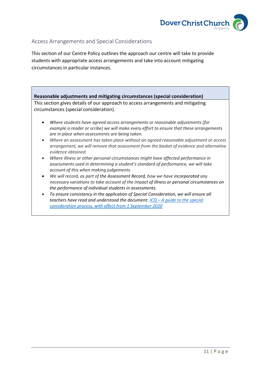

## Access Arrangements and Special Considerations

This section of our Centre Policy outlines the approach our centre will take to provide students with appropriate access arrangements and take into account mitigating circumstances in particular instances.

## **Reasonable adjustments and mitigating circumstances (special consideration)**

This section gives details of our approach to access arrangements and mitigating circumstances (special consideration).

- *Where students have agreed access arrangements or reasonable adjustments (for example a reader or scribe) we will make every effort to ensure that these arrangements are in place when assessments are being taken.*
- *Where an assessment has taken place without an agreed reasonable adjustment or access arrangement, we will remove that assessment from the basket of evidence and alternative evidence obtained.*
- *Where illness or other personal circumstances might have affected performance in assessments used in determining a student's standard of performance, we will take account of this when making judgements.*
- *We will record, as part of the Assessment Record, how we have incorporated any necessary variations to take account of the impact of illness or personal circumstances on the performance of individual students in assessments.*
- *To ensure consistency in the application of Special Consideration, we will ensure all teachers have read and understood the document: JCQ – [A guide to the special](https://www.jcq.org.uk/wp-content/uploads/2020/08/A-guide-to-the-spec-con-process-202021-Website-version.pdf)  [consideration process, with effect from 1 September 2020](https://www.jcq.org.uk/wp-content/uploads/2020/08/A-guide-to-the-spec-con-process-202021-Website-version.pdf)*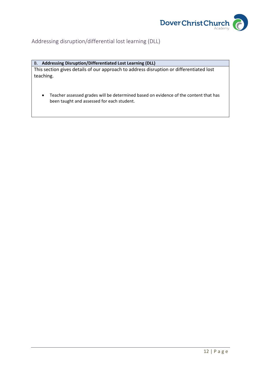

## Addressing disruption/differential lost learning (DLL)

## B. **Addressing Disruption/Differentiated Lost Learning (DLL)**

This section gives details of our approach to address disruption or differentiated lost teaching.

• Teacher assessed grades will be determined based on evidence of the content that has been taught and assessed for each student.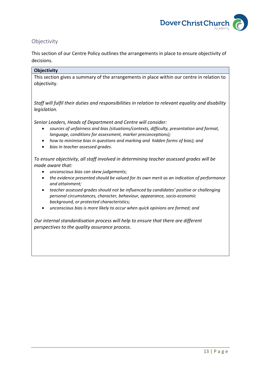

## Objectivity

This section of our Centre Policy outlines the arrangements in place to ensure objectivity of decisions.

#### **Objectivity**

This section gives a summary of the arrangements in place within our centre in relation to objectivity.

*Staff will fulfil their duties and responsibilities in relation to relevant equality and disability legislation.*

*Senior Leaders, Heads of Department and Centre will consider:*

- *sources of unfairness and bias (situations/contexts, difficulty, presentation and format, language, conditions for assessment, marker preconceptions);*
- *how to minimise bias in questions and marking and hidden forms of bias); and*
- *bias in teacher assessed grades.*

*To ensure objectivity, all staff involved in determining teacher assessed grades will be made aware that:*

- *unconscious bias can skew judgements;*
- *the evidence presented should be valued for its own merit as an indication of performance and attainment;*
- *teacher assessed grades should not be influenced by candidates' positive or challenging personal circumstances, character, behaviour, appearance, socio-economic background, or protected characteristics;*
- *unconscious bias is more likely to occur when quick opinions are formed; and*

*Our internal standardisation process will help to ensure that there are different perspectives to the quality assurance process.*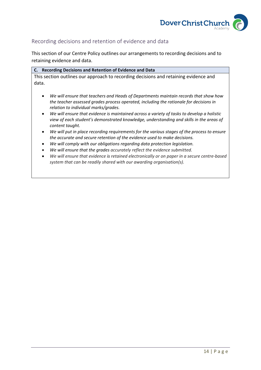

## Recording decisions and retention of evidence and data

This section of our Centre Policy outlines our arrangements to recording decisions and to retaining evidence and data.

| C. Recording Decisions and Retention of Evidence and Data                                                                                                                                                              |
|------------------------------------------------------------------------------------------------------------------------------------------------------------------------------------------------------------------------|
| This section outlines our approach to recording decisions and retaining evidence and                                                                                                                                   |
| data.                                                                                                                                                                                                                  |
|                                                                                                                                                                                                                        |
| We will ensure that teachers and Heads of Departments maintain records that show how<br>the teacher assessed grades process operated, including the rationale for decisions in<br>relation to individual marks/grades. |
| We will ensure that evidence is maintained across a variety of tasks to develop a holistic<br>$\bullet$<br>view of each student's demonstrated knowledge, understanding and skills in the areas of<br>content taught.  |
| We will put in place recording requirements for the various stages of the process to ensure<br>the accurate and secure retention of the evidence used to make decisions.                                               |
| We will comply with our obligations regarding data protection legislation.                                                                                                                                             |
| We will ensure that the grades accurately reflect the evidence submitted.<br>$\bullet$                                                                                                                                 |
| We will ensure that evidence is retained electronically or on paper in a secure centre-based<br>$\bullet$<br>system that can be readily shared with our awarding organisation(s).                                      |
|                                                                                                                                                                                                                        |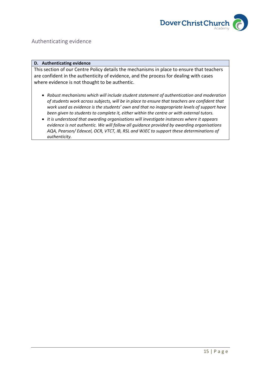

## Authenticating evidence

#### **D. Authenticating evidence**

This section of our Centre Policy details the mechanisms in place to ensure that teachers are confident in the authenticity of evidence, and the process for dealing with cases where evidence is not thought to be authentic.

- *Robust mechanisms which will include student statement of authentication and moderation of students work across subjects, will be in place to ensure that teachers are confident that work used as evidence is the students' own and that no inappropriate levels of support have been given to students to complete it, either within the centre or with external tutors.*
- *It is understood that awarding organisations will investigate instances where it appears evidence is not authentic. We will follow all guidance provided by awarding organisations AQA, Pearson/ Edexcel, OCR, VTCT, IB, RSL and WJEC to support these determinations of authenticity.*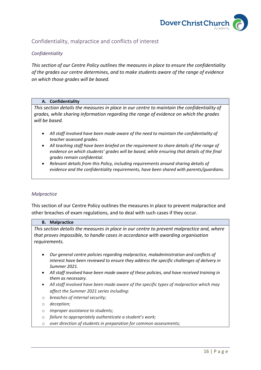

## Confidentiality, malpractice and conflicts of interest

## *Confidentiality*

*This section of our Centre Policy outlines the measures in place to ensure the confidentiality of the grades our centre determines, and to make students aware of the range of evidence on which those grades will be based.*

#### **A. Confidentiality**

*This section details the measures in place in our centre to maintain the confidentiality of grades, while sharing information regarding the range of evidence on which the grades will be based.* 

- *All staff involved have been made aware of the need to maintain the confidentiality of teacher assessed grades.*
- *All teaching staff have been briefed on the requirement to share details of the range of evidence on which students' grades will be based, while ensuring that details of the final grades remain confidential.*
- *Relevant details from this Policy, including requirements around sharing details of evidence and the confidentiality requirements, have been shared with parents/guardians.*

#### *Malpractice*

This section of our Centre Policy outlines the measures in place to prevent malpractice and other breaches of exam regulations, and to deal with such cases if they occur.

#### **B. Malpractice**

*This section details the measures in place in our centre to prevent malpractice and, where that proves impossible, to handle cases in accordance with awarding organisation requirements.*

- *Our general centre policies regarding malpractice, maladministration and conflicts of interest have been reviewed to ensure they address the specific challenges of delivery in Summer 2021.*
- *All staff involved have been made aware of these policies, and have received training in them as necessary.*
- *All staff involved have been made aware of the specific types of malpractice which may affect the Summer 2021 series including:*
- o *breaches of internal security;*
- o *deception;*
- o *improper assistance to students;*
- o *failure to appropriately authenticate a student's work;*
- o *over direction of students in preparation for common assessments;*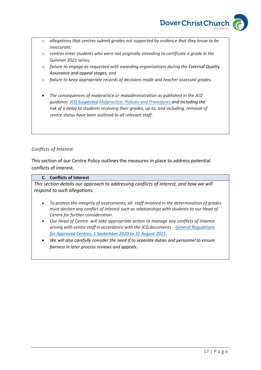

- o *allegations that centres submit grades not supported by evidence that they know to be inaccurate;*
- o *centres enter students who were not originally intending to certificate a grade in the Summer 2021 series;*
- o *failure to engage as requested with awarding organisations during the External Quality Assurance and appeal stages; and*
- o *failure to keep appropriate records of decisions made and teacher assessed grades.*
- *The consequences of malpractice or maladministration as published in the JCQ guidance: [JCQ Suspected](https://www.jcq.org.uk/exams-office/malpractice/jcq-suspected-malpractice-policies-and-procedures-2019-2020) Malpractice: Policies and Procedures and including the risk of a delay to students receiving their grades, up to, and including, removal of centre status have been outlined to all relevant staff.*

## *Conflicts of Interest*

This section of our Centre Policy outlines the measures in place to address potential conflicts of interest.

#### **C. Conflicts of Interest**

*This section details our approach to addressing conflicts of interest, and how we will respond to such allegations.*

- *To protect the integrity of assessments, all staff involved in the determination of grades must declare any conflict of interest such as relationships with students to our Head of Centre for further consideration.*
- *Our Head of Centre will take appropriate action to manage any conflicts of interest arising with centre staff in accordance with the JCQ documents- [General Regulations](https://www.jcq.org.uk/wp-content/uploads/2020/09/Gen_regs_approved_centres_20-21_FINAL.pdf)  [for Approved Centres, 1 September 2020 to 31 August 2021.](https://www.jcq.org.uk/wp-content/uploads/2020/09/Gen_regs_approved_centres_20-21_FINAL.pdf)*
- *We will also carefully consider the need if to separate duties and personnel to ensure fairness in later process reviews and appeals.*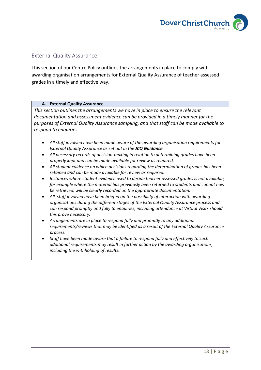

## External Quality Assurance

This section of our Centre Policy outlines the arrangements in place to comply with awarding organisation arrangements for External Quality Assurance of teacher assessed grades in a timely and effective way.

#### **A. External Quality Assurance**

*This section outlines the arrangements we have in place to ensure the relevant documentation and assessment evidence can be provided in a timely manner for the purposes of External Quality Assurance sampling, and that staff can be made available to respond to enquiries.*

- *All staff involved have been made aware of the awarding organisation requirements for External Quality Assurance as set out in the JCQ Guidance.*
- *All necessary records of decision-making in relation to determining grades have been properly kept and can be made available for review as required.*
- *All student evidence on which decisions regarding the determination of grades has been retained and can be made available for review as required.*
- *Instances where student evidence used to decide teacher assessed grades is not available, for example where the material has previously been returned to students and cannot now be retrieved, will be clearly recorded on the appropriate documentation.*
- *All staff involved have been briefed on the possibility of interaction with awarding organisations during the different stages of the External Quality Assurance process and can respond promptly and fully to enquiries, including attendance at Virtual Visits should this prove necessary.*
- *Arrangements are in place to respond fully and promptly to any additional requirements/reviews that may be identified as a result of the External Quality Assurance process.*
- *Staff have been made aware that a failure to respond fully and effectively to such additional requirements may result in further action by the awarding organisations, including the withholding of results.*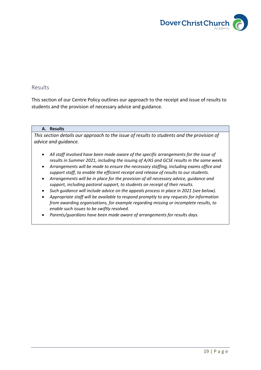

## Results

This section of our Centre Policy outlines our approach to the receipt and issue of results to students and the provision of necessary advice and guidance.

#### **A. Results**

*This section details our approach to the issue of results to students and the provision of advice and guidance.*

- *All staff involved have been made aware of the specific arrangements for the issue of results in Summer 2021, including the issuing of A/AS and GCSE results in the same week.*
- *Arrangements will be made to ensure the necessary staffing, including exams office and support staff, to enable the efficient receipt and release of results to our students.*
- *Arrangements will be in place for the provision of all necessary advice, guidance and support, including pastoral support, to students on receipt of their results.*
- *Such guidance will include advice on the appeals process in place in 2021 (see below).*
- *Appropriate staff will be available to respond promptly to any requests for information from awarding organisations, for example regarding missing or incomplete results, to enable such issues to be swiftly resolved.*
- *Parents/guardians have been made aware of arrangements for results days.*